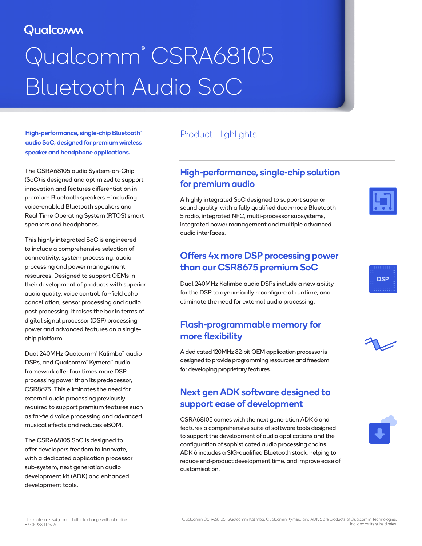# Qualcomm

# Qualcomm® CSRA68105 Bluetooth Audio SoC

High-performance, single-chip Bluetooth® audio SoC, designed for premium wireless speaker and headphone applications.

The CSRA68105 audio System-on-Chip (SoC) is designed and optimized to support innovation and features differentiation in premium Bluetooth speakers – including voice-enabled Bluetooth speakers and Real Time Operating System (RTOS) smart speakers and headphones.

This highly integrated SoC is engineered to include a comprehensive selection of connectivity, system processing, audio processing and power management resources. Designed to support OEMs in their development of products with superior audio quality, voice control, far-field echo cancellation, sensor processing and audio post processing, it raises the bar in terms of digital signal processor (DSP) processing power and advanced features on a singlechip platform.

Dual 240MHz Qualcomm® Kalimba™ audio DSPs, and Qualcomm® Kymera™ audio framework offer four times more DSP processing power than its predecessor, CSR8675. This eliminates the need for external audio processing previously required to support premium features such as far-field voice processing and advanced musical effects and reduces eBOM.

The CSRA68105 SoC is designed to offer developers freedom to innovate, with a dedicated application processor sub-system, next generation audio development kit (ADK) and enhanced development tools.

## Product Highlights

## High-performance, single-chip solution for premium audio

A highly integrated SoC designed to support superior sound quality, with a fully qualified dual-mode Bluetooth 5 radio, integrated NFC, multi-processor subsystems, integrated power management and multiple advanced audio interfaces.

## Offers 4x more DSP processing power than our CSR8675 premium SoC

Dual 240MHz Kalimba audio DSPs include a new ability for the DSP to dynamically reconfigure at runtime, and eliminate the need for external audio processing.

## Flash-programmable memory for more flexibility

A dedicated 120MHz 32-bit OEM application processor is designed to provide programming resources and freedom for developing proprietary features.

## Next gen ADK software designed to support ease of development

CSRA68105 comes with the next generation ADK 6 and features a comprehensive suite of software tools designed to support the development of audio applications and the configuration of sophisticated audio processing chains. ADK 6 includes a SIG-qualified Bluetooth stack, helping to reduce end-product development time, and improve ease of customisation.